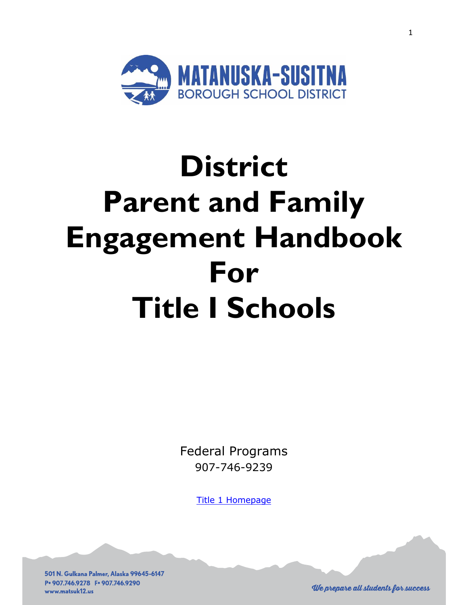

# **District Parent and Family Engagement Handbook For Title I Schools**

Federal Programs 907-746-9239

**[Title 1 Homepage](http://www.matsuk12.us/no-child-left-behind)** 

501 N. Gulkana Palmer, Alaska 99645-6147 P. 907.746.9278 F. 907.746.9290 www.matsuk12.us

1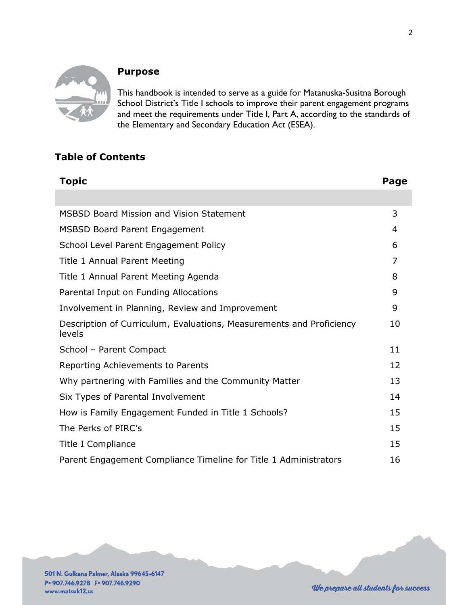

## **Purpose**

This handbook is intended to serve as a guide for Matanuska-Susitna Borough School District's Title I schools to improve their parent engagement programs and meet the requirements under Title I, Part A, according to the standards of the Elementary and Secondary Education Act (ESEA).

## **Table of Contents**

| <b>Topic</b>                                                                   | Page |
|--------------------------------------------------------------------------------|------|
|                                                                                |      |
| <b>MSBSD Board Mission and Vision Statement</b>                                | 3    |
| <b>MSBSD Board Parent Engagement</b>                                           | 4    |
| School Level Parent Engagement Policy                                          | 6    |
| Title 1 Annual Parent Meeting                                                  | 7    |
| Title 1 Annual Parent Meeting Agenda                                           | 8    |
| Parental Input on Funding Allocations                                          | 9    |
| Involvement in Planning, Review and Improvement                                | 9    |
| Description of Curriculum, Evaluations, Measurements and Proficiency<br>levels | 10   |
| School - Parent Compact                                                        | 11   |
| Reporting Achievements to Parents                                              | 12   |
| Why partnering with Families and the Community Matter                          | 13   |
| Six Types of Parental Involvement                                              | 14   |
| How is Family Engagement Funded in Title 1 Schools?                            | 15   |
| The Perks of PIRC's                                                            | 15   |
| Title I Compliance                                                             | 15   |
| Parent Engagement Compliance Timeline for Title 1 Administrators               | 16   |

501 N. Gulkana Palmer, Alaska 99645-6147 P. 907.746.9278 F. 907.746.9290 www.matsuk12.us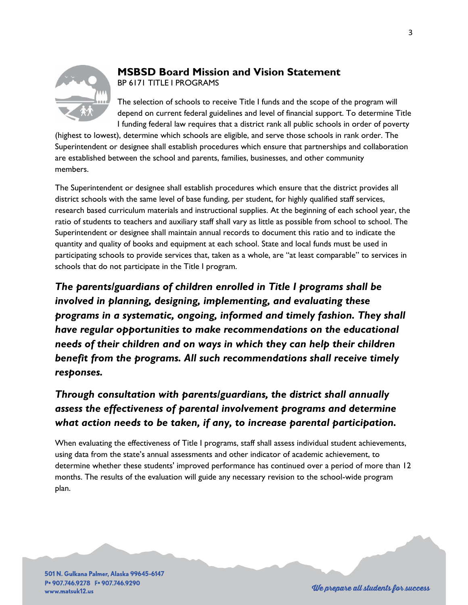

## **MSBSD Board Mission and Vision Statement** BP 6171 TITLE I PROGRAMS

The selection of schools to receive Title I funds and the scope of the program will depend on current federal guidelines and level of financial support. To determine Title I funding federal law requires that a district rank all public schools in order of poverty

(highest to lowest), determine which schools are eligible, and serve those schools in rank order. The Superintendent or designee shall establish procedures which ensure that partnerships and collaboration are established between the school and parents, families, businesses, and other community members.

The Superintendent or designee shall establish procedures which ensure that the district provides all district schools with the same level of base funding, per student, for highly qualified staff services, research based curriculum materials and instructional supplies. At the beginning of each school year, the ratio of students to teachers and auxiliary staff shall vary as little as possible from school to school. The Superintendent or designee shall maintain annual records to document this ratio and to indicate the quantity and quality of books and equipment at each school. State and local funds must be used in participating schools to provide services that, taken as a whole, are "at least comparable" to services in schools that do not participate in the Title I program.

*The parents/guardians of children enrolled in Title I programs shall be involved in planning, designing, implementing, and evaluating these programs in a systematic, ongoing, informed and timely fashion. They shall have regular opportunities to make recommendations on the educational needs of their children and on ways in which they can help their children benefit from the programs. All such recommendations shall receive timely responses.* 

# *Through consultation with parents/guardians, the district shall annually assess the effectiveness of parental involvement programs and determine what action needs to be taken, if any, to increase parental participation.*

When evaluating the effectiveness of Title I programs, staff shall assess individual student achievements, using data from the state's annual assessments and other indicator of academic achievement, to determine whether these students' improved performance has continued over a period of more than 12 months. The results of the evaluation will guide any necessary revision to the school-wide program plan.

501 N. Gulkana Palmer, Alaska 99645-6147 P. 907.746.9278 F. 907.746.9290 www.matsuk12.us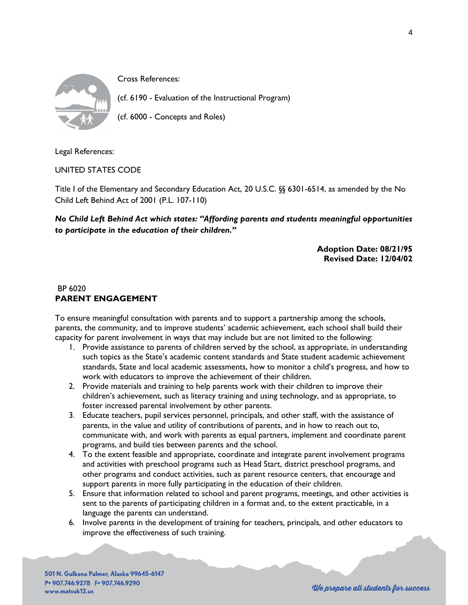

Cross References:

(cf. 6190 - Evaluation of the Instructional Program)

(cf. 6000 - Concepts and Roles)

Legal References:

UNITED STATES CODE

Title I of the Elementary and Secondary Education Act, 20 U.S.C. §§ 6301-6514, as amended by the No Child Left Behind Act of 2001 (P.L. 107-110)

*No Child Left Behind Act which states: "Affording parents and students meaningful opportunities to participate in the education of their children."* 

> **Adoption Date: 08/21/95 Revised Date: 12/04/02**

#### BP 6020 **PARENT ENGAGEMENT**

To ensure meaningful consultation with parents and to support a partnership among the schools, parents, the community, and to improve students' academic achievement, each school shall build their capacity for parent involvement in ways that may include but are not limited to the following:

- 1. Provide assistance to parents of children served by the school, as appropriate, in understanding such topics as the State's academic content standards and State student academic achievement standards, State and local academic assessments, how to monitor a child's progress, and how to work with educators to improve the achievement of their children.
- 2. Provide materials and training to help parents work with their children to improve their children's achievement, such as literacy training and using technology, and as appropriate, to foster increased parental involvement by other parents.
- 3. Educate teachers, pupil services personnel, principals, and other staff, with the assistance of parents, in the value and utility of contributions of parents, and in how to reach out to, communicate with, and work with parents as equal partners, implement and coordinate parent programs, and build ties between parents and the school.
- 4. To the extent feasible and appropriate, coordinate and integrate parent involvement programs and activities with preschool programs such as Head Start, district preschool programs, and other programs and conduct activities, such as parent resource centers, that encourage and support parents in more fully participating in the education of their children.
- 5. Ensure that information related to school and parent programs, meetings, and other activities is sent to the parents of participating children in a format and, to the extent practicable, in a language the parents can understand.
- 6. Involve parents in the development of training for teachers, principals, and other educators to improve the effectiveness of such training.

501 N. Gulkana Palmer, Alaska 99645-6147 P. 907.746.9278 F. 907.746.9290 www.matsuk12.us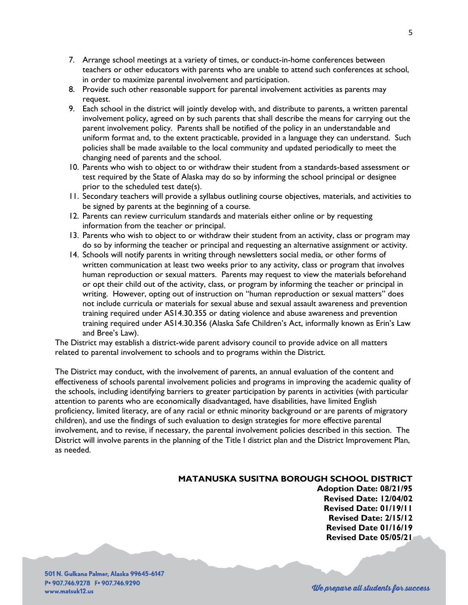- 7. Arrange school meetings at a variety of times, or conduct-in-home conferences between teachers or other educators with parents who are unable to attend such conferences at school, in order to maximize parental involvement and participation.
- 8. Provide such other reasonable support for parental involvement activities as parents may request.
- 9. Each school in the district will jointly develop with, and distribute to parents, a written parental involvement policy, agreed on by such parents that shall describe the means for carrying out the parent involvement policy. Parents shall be notified of the policy in an understandable and uniform format and, to the extent practicable, provided in a language they can understand. Such policies shall be made available to the local community and updated periodically to meet the changing need of parents and the school.
- 10. Parents who wish to object to or withdraw their student from a standards-based assessment or test required by the State of Alaska may do so by informing the school principal or designee prior to the scheduled test date(s).
- 11. Secondary teachers will provide a syllabus outlining course objectives, materials, and activities to be signed by parents at the beginning of a course.
- 12. Parents can review curriculum standards and materials either online or by requesting information from the teacher or principal.
- 13. Parents who wish to object to or withdraw their student from an activity, class or program may do so by informing the teacher or principal and requesting an alternative assignment or activity.
- 14. Schools will notify parents in writing through newsletters social media, or other forms of written communication at least two weeks prior to any activity, class or program that involves human reproduction or sexual matters. Parents may request to view the materials beforehand or opt their child out of the activity, class, or program by informing the teacher or principal in writing. However, opting out of instruction on "human reproduction or sexual matters" does not include curricula or materials for sexual abuse and sexual assault awareness and prevention training required under AS14.30.355 or dating violence and abuse awareness and prevention training required under AS14.30.356 (Alaska Safe Children's Act, informally known as Erin's Law and Bree's Law).

The District may establish a district-wide parent advisory council to provide advice on all matters related to parental involvement to schools and to programs within the District.

The District may conduct, with the involvement of parents, an annual evaluation of the content and effectiveness of schools parental involvement policies and programs in improving the academic quality of the schools, including identifying barriers to greater participation by parents in activities (with particular attention to parents who are economically disadvantaged, have disabilities, have limited English proficiency, limited literacy, are of any racial or ethnic minority background or are parents of migratory children), and use the findings of such evaluation to design strategies for more effective parental involvement, and to revise, if necessary, the parental involvement policies described in this section. The District will involve parents in the planning of the Title I district plan and the District Improvement Plan, as needed.

#### **MATANUSKA SUSITNA BOROUGH SCHOOL DISTRICT**

**Adoption Date: 08/21/95 Revised Date: 12/04/02 Revised Date: 01/19/11 Revised Date: 2/15/12 Revised Date 01/16/19 Revised Date 05/05/21**

501 N. Gulkana Palmer, Alaska 99645-6147 P. 907.746.9278 F. 907.746.9290 www.matsuk12.us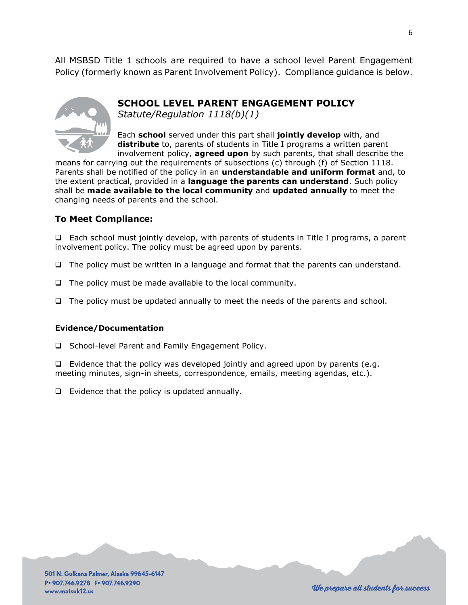All MSBSD Title 1 schools are required to have a school level Parent Engagement Policy (formerly known as Parent Involvement Policy). Compliance guidance is below.



**SCHOOL LEVEL PARENT ENGAGEMENT POLICY**

*Statute/Regulation 1118(b)(1)*

Each **school** served under this part shall **jointly develop** with, and **distribute** to, parents of students in Title I programs a written parent involvement policy, **agreed upon** by such parents, that shall describe the

means for carrying out the requirements of subsections (c) through (f) of Section 1118. Parents shall be notified of the policy in an **understandable and uniform format** and, to the extent practical, provided in a **language the parents can understand**. Such policy shall be **made available to the local community** and **updated annually** to meet the changing needs of parents and the school.

## **To Meet Compliance:**

❑ Each school must jointly develop, with parents of students in Title I programs, a parent involvement policy. The policy must be agreed upon by parents.

- ❑ The policy must be written in a language and format that the parents can understand.
- ❑ The policy must be made available to the local community.
- ❑ The policy must be updated annually to meet the needs of the parents and school.

#### **Evidence/Documentation**

❑ School-level Parent and Family Engagement Policy.

❑ Evidence that the policy was developed jointly and agreed upon by parents (e.g. meeting minutes, sign-in sheets, correspondence, emails, meeting agendas, etc.).

❑ Evidence that the policy is updated annually.

501 N. Gulkana Palmer, Alaska 99645-6147 P. 907.746.9278 F. 907.746.9290 www.matsuk12.us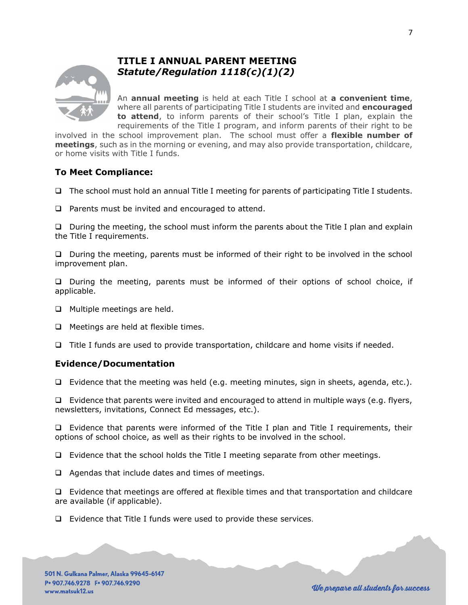

## **TITLE I ANNUAL PARENT MEETING** *Statute/Regulation 1118(c)(1)(2)*

An **annual meeting** is held at each Title I school at **a convenient time**, where all parents of participating Title I students are invited and **encouraged to attend**, to inform parents of their school's Title I plan, explain the requirements of the Title I program, and inform parents of their right to be

involved in the school improvement plan. The school must offer a **flexible number of meetings**, such as in the morning or evening, and may also provide transportation, childcare, or home visits with Title I funds.

### **To Meet Compliance:**

- ❑ The school must hold an annual Title I meeting for parents of participating Title I students.
- ❑ Parents must be invited and encouraged to attend.

❑ During the meeting, the school must inform the parents about the Title I plan and explain the Title I requirements.

❑ During the meeting, parents must be informed of their right to be involved in the school improvement plan.

❑ During the meeting, parents must be informed of their options of school choice, if applicable.

- ❑ Multiple meetings are held.
- ❑ Meetings are held at flexible times.
- ❑ Title I funds are used to provide transportation, childcare and home visits if needed.

#### **Evidence/Documentation**

❑ Evidence that the meeting was held (e.g. meeting minutes, sign in sheets, agenda, etc.).

❑ Evidence that parents were invited and encouraged to attend in multiple ways (e.g. flyers, newsletters, invitations, Connect Ed messages, etc.).

❑ Evidence that parents were informed of the Title I plan and Title I requirements, their options of school choice, as well as their rights to be involved in the school.

❑ Evidence that the school holds the Title I meeting separate from other meetings.

❑ Agendas that include dates and times of meetings.

❑ Evidence that meetings are offered at flexible times and that transportation and childcare are available (if applicable).

❑ Evidence that Title I funds were used to provide these services.

501 N. Gulkana Palmer, Alaska 99645-6147 P. 907.746.9278 F. 907.746.9290 www.matsuk12.us

7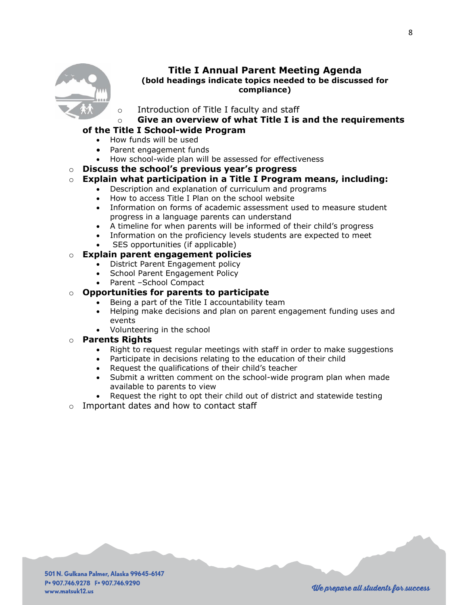

#### **Title I Annual Parent Meeting Agenda (bold headings indicate topics needed to be discussed for compliance)**

- Introduction of Title I faculty and staff
- o **Give an overview of what Title I is and the requirements**

#### **of the Title I School-wide Program**

- How funds will be used
- Parent engagement funds
- How school-wide plan will be assessed for effectiveness
- o **Discuss the school's previous year's progress**

## o **Explain what participation in a Title I Program means, including:**

- Description and explanation of curriculum and programs
- How to access Title I Plan on the school website
- Information on forms of academic assessment used to measure student progress in a language parents can understand
- A timeline for when parents will be informed of their child's progress
- Information on the proficiency levels students are expected to meet
- SES opportunities (if applicable)

#### o **Explain parent engagement policies**

- District Parent Engagement policy
- School Parent Engagement Policy
- Parent –School Compact

#### o **Opportunities for parents to participate**

- Being a part of the Title I accountability team
- Helping make decisions and plan on parent engagement funding uses and events
- Volunteering in the school

#### o **Parents Rights**

- Right to request regular meetings with staff in order to make suggestions
- Participate in decisions relating to the education of their child
- Request the qualifications of their child's teacher
- Submit a written comment on the school-wide program plan when made available to parents to view
- Request the right to opt their child out of district and statewide testing
- o Important dates and how to contact staff

501 N. Gulkana Palmer, Alaska 99645-6147 P. 907.746.9278 F. 907.746.9290 www.matsuk12.us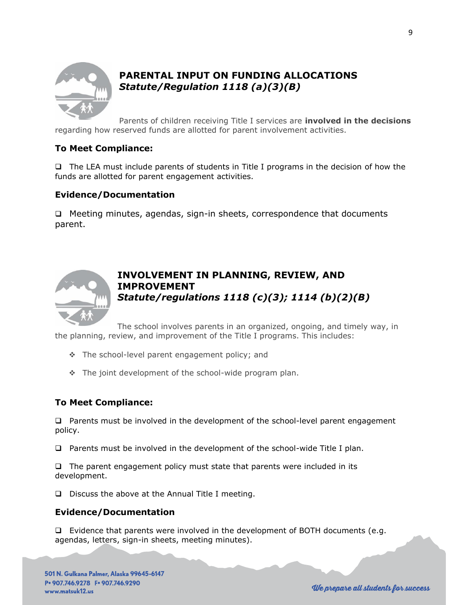

## **PARENTAL INPUT ON FUNDING ALLOCATIONS** *Statute/Regulation 1118 (a)(3)(B)*

Parents of children receiving Title I services are **involved in the decisions**  regarding how reserved funds are allotted for parent involvement activities.

### **To Meet Compliance:**

❑ The LEA must include parents of students in Title I programs in the decision of how the funds are allotted for parent engagement activities.

### **Evidence/Documentation**

❑ Meeting minutes, agendas, sign-in sheets, correspondence that documents parent.



## **INVOLVEMENT IN PLANNING, REVIEW, AND IMPROVEMENT** *Statute/regulations 1118 (c)(3); 1114 (b)(2)(B)*

The school involves parents in an organized, ongoing, and timely way, in the planning, review, and improvement of the Title I programs. This includes:

- ❖ The school-level parent engagement policy; and
- ❖ The joint development of the school-wide program plan.

#### **To Meet Compliance:**

❑ Parents must be involved in the development of the school-level parent engagement policy.

❑ Parents must be involved in the development of the school-wide Title I plan.

❑ The parent engagement policy must state that parents were included in its development.

❑ Discuss the above at the Annual Title I meeting.

#### **Evidence/Documentation**

❑ Evidence that parents were involved in the development of BOTH documents (e.g. agendas, letters, sign-in sheets, meeting minutes).

501 N. Gulkana Palmer, Alaska 99645-6147 P. 907.746.9278 F. 907.746.9290 www.matsuk12.us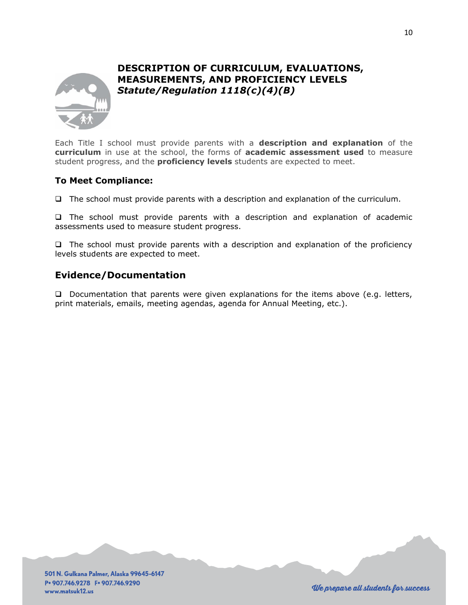

## **DESCRIPTION OF CURRICULUM, EVALUATIONS, MEASUREMENTS, AND PROFICIENCY LEVELS** *Statute/Regulation 1118(c)(4)(B)*

Each Title I school must provide parents with a **description and explanation** of the **curriculum** in use at the school, the forms of **academic assessment used** to measure student progress, and the **proficiency levels** students are expected to meet.

#### **To Meet Compliance:**

❑ The school must provide parents with a description and explanation of the curriculum.

❑ The school must provide parents with a description and explanation of academic assessments used to measure student progress.

❑ The school must provide parents with a description and explanation of the proficiency levels students are expected to meet.

### **Evidence/Documentation**

❑ Documentation that parents were given explanations for the items above (e.g. letters, print materials, emails, meeting agendas, agenda for Annual Meeting, etc.).

501 N. Gulkana Palmer, Alaska 99645-6147 P. 907.746.9278 F. 907.746.9290 www.matsuk12.us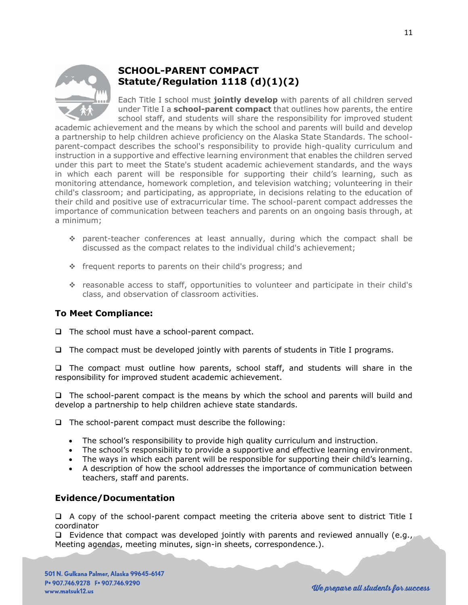

## **SCHOOL-PARENT COMPACT Statute/Regulation 1118 (d)(1)(2)**

Each Title I school must **jointly develop** with parents of all children served under Title I a **school-parent compact** that outlines how parents, the entire school staff, and students will share the responsibility for improved student

academic achievement and the means by which the school and parents will build and develop a partnership to help children achieve proficiency on the Alaska State Standards. The schoolparent-compact describes the school's responsibility to provide high-quality curriculum and instruction in a supportive and effective learning environment that enables the children served under this part to meet the State's student academic achievement standards, and the ways in which each parent will be responsible for supporting their child's learning, such as monitoring attendance, homework completion, and television watching; volunteering in their child's classroom; and participating, as appropriate, in decisions relating to the education of their child and positive use of extracurricular time. The school-parent compact addresses the importance of communication between teachers and parents on an ongoing basis through, at a minimum;

- ❖ parent-teacher conferences at least annually, during which the compact shall be discussed as the compact relates to the individual child's achievement;
- ❖ frequent reports to parents on their child's progress; and
- ❖ reasonable access to staff, opportunities to volunteer and participate in their child's class, and observation of classroom activities.

## **To Meet Compliance:**

- ❑ The school must have a school-parent compact.
- ❑ The compact must be developed jointly with parents of students in Title I programs.

❑ The compact must outline how parents, school staff, and students will share in the responsibility for improved student academic achievement.

❑ The school-parent compact is the means by which the school and parents will build and develop a partnership to help children achieve state standards.

❑ The school-parent compact must describe the following:

- The school's responsibility to provide high quality curriculum and instruction.
- The school's responsibility to provide a supportive and effective learning environment.
- The ways in which each parent will be responsible for supporting their child's learning.
- A description of how the school addresses the importance of communication between teachers, staff and parents.

## **Evidence/Documentation**

❑ A copy of the school-parent compact meeting the criteria above sent to district Title I coordinator

 $\Box$  Evidence that compact was developed jointly with parents and reviewed annually (e.g., Meeting agendas, meeting minutes, sign-in sheets, correspondence.).

501 N. Gulkana Palmer, Alaska 99645-6147 P. 907.746.9278 F. 907.746.9290 www.matsuk12.us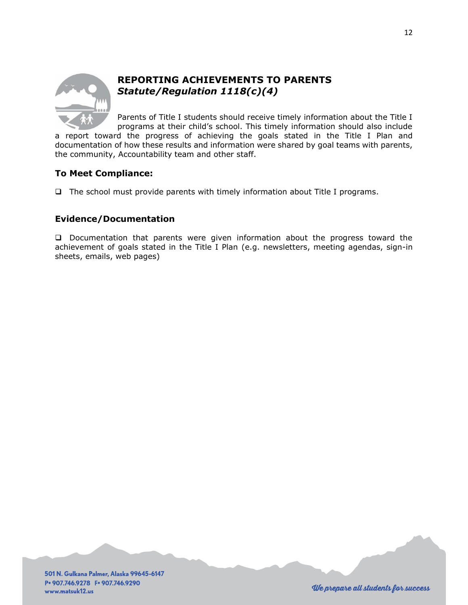

## **REPORTING ACHIEVEMENTS TO PARENTS** *Statute/Regulation 1118(c)(4)*

Parents of Title I students should receive timely information about the Title I programs at their child's school. This timely information should also include

a report toward the progress of achieving the goals stated in the Title I Plan and documentation of how these results and information were shared by goal teams with parents, the community, Accountability team and other staff.

## **To Meet Compliance:**

❑ The school must provide parents with timely information about Title I programs.

## **Evidence/Documentation**

❑ Documentation that parents were given information about the progress toward the achievement of goals stated in the Title I Plan (e.g. newsletters, meeting agendas, sign-in sheets, emails, web pages)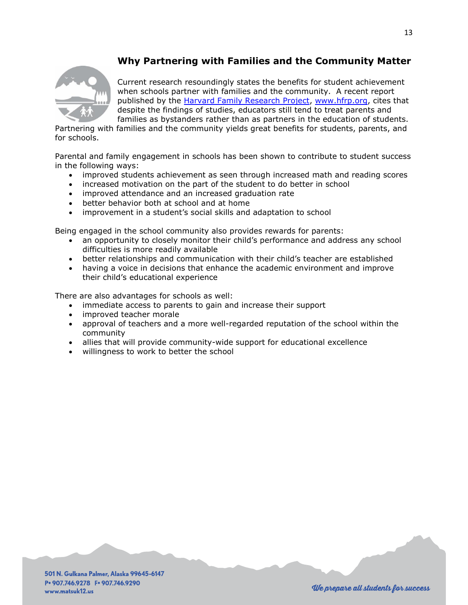## **Why Partnering with Families and the Community Matter**



Current research resoundingly states the benefits for student achievement when schools partner with families and the community. A recent report published by the [Harvard Family Research Project, www.hfrp.org,](http://www.hfrp.org/) cites that despite the findings of studies, educators still tend to treat parents and families as bystanders rather than as partners in the education of students.

Partnering with families and the community yields great benefits for students, parents, and for schools.

Parental and family engagement in schools has been shown to contribute to student success in the following ways:

- improved students achievement as seen through increased math and reading scores
- increased motivation on the part of the student to do better in school
- improved attendance and an increased graduation rate
- better behavior both at school and at home
- improvement in a student's social skills and adaptation to school

Being engaged in the school community also provides rewards for parents:

- an opportunity to closely monitor their child's performance and address any school difficulties is more readily available
- better relationships and communication with their child's teacher are established
- having a voice in decisions that enhance the academic environment and improve their child's educational experience

There are also advantages for schools as well:

- immediate access to parents to gain and increase their support
- improved teacher morale
- approval of teachers and a more well-regarded reputation of the school within the community
- allies that will provide community-wide support for educational excellence
- willingness to work to better the school

501 N. Gulkana Palmer, Alaska 99645-6147 P. 907.746.9278 F. 907.746.9290 www.matsuk12.us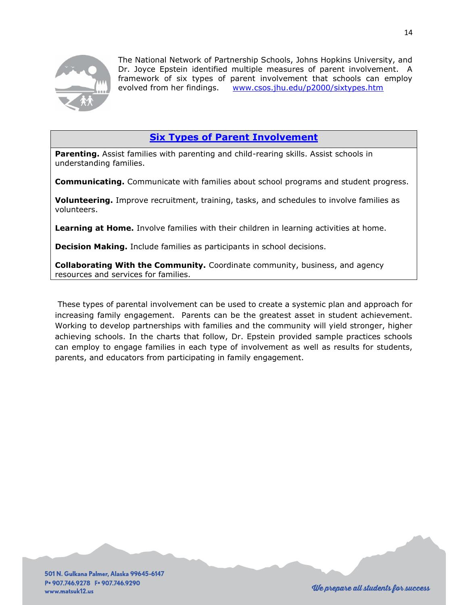

The National Network of Partnership Schools, Johns Hopkins University, and Dr. Joyce Epstein identified multiple measures of parent involvement. A framework of six types of parent involvement that schools can employ evolved from her findings. [www.csos.jhu.edu/p2000/sixtypes.htm](http://www.csos.jhu.edu/p2000/sixtypes.htm)

## **[Six Types of Parent Involvement](http://www.csos.jhu.edu/p2000/RESULTS/Results.htm)**

**Parenting.** Assist families with parenting and child-rearing skills. Assist schools in understanding families.

**Communicating.** Communicate with families about school programs and student progress.

**Volunteering.** Improve recruitment, training, tasks, and schedules to involve families as volunteers.

**Learning at Home.** Involve families with their children in learning activities at home.

**Decision Making.** Include families as participants in school decisions.

**Collaborating With the Community.** Coordinate community, business, and agency resources and services for families.

These types of parental involvement can be used to create a systemic plan and approach for increasing family engagement. Parents can be the greatest asset in student achievement. Working to develop partnerships with families and the community will yield stronger, higher achieving schools. In the charts that follow, Dr. Epstein provided sample practices schools can employ to engage families in each type of involvement as well as results for students, parents, and educators from participating in family engagement.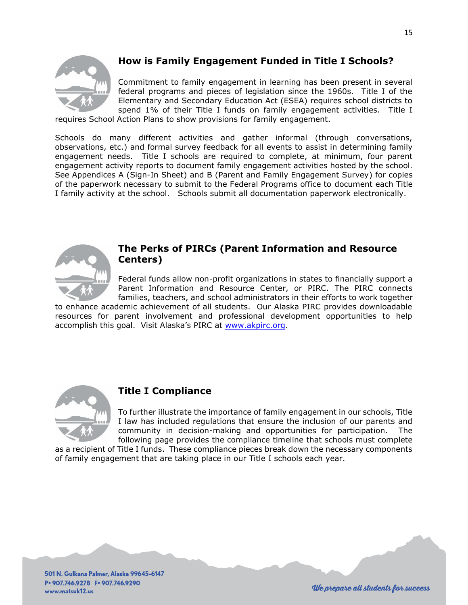

## **How is Family Engagement Funded in Title I Schools?**

Commitment to family engagement in learning has been present in several federal programs and pieces of legislation since the 1960s. Title I of the Elementary and Secondary Education Act (ESEA) requires school districts to spend 1% of their Title I funds on family engagement activities. Title I

requires School Action Plans to show provisions for family engagement.

Schools do many different activities and gather informal (through conversations, observations, etc.) and formal survey feedback for all events to assist in determining family engagement needs. Title I schools are required to complete, at minimum, four parent engagement activity reports to document family engagement activities hosted by the school. See Appendices A (Sign-In Sheet) and B (Parent and Family Engagement Survey) for copies of the paperwork necessary to submit to the Federal Programs office to document each Title I family activity at the school. Schools submit all documentation paperwork electronically.



## **The Perks of PIRCs (Parent Information and Resource Centers)**

Federal funds allow non-profit organizations in states to financially support a Parent Information and Resource Center, or PIRC. The PIRC connects families, teachers, and school administrators in their efforts to work together

to enhance academic achievement of all students. Our Alaska PIRC provides downloadable resources for parent involvement and professional development opportunities to help accomplish this goal. Visit Alaska's PIRC at [www.akpirc.org.](http://www.akpirc.org/)



## **Title I Compliance**

To further illustrate the importance of family engagement in our schools, Title I law has included regulations that ensure the inclusion of our parents and community in decision-making and opportunities for participation. The following page provides the compliance timeline that schools must complete

as a recipient of Title I funds. These compliance pieces break down the necessary components of family engagement that are taking place in our Title I schools each year.

501 N. Gulkana Palmer, Alaska 99645-6147 P. 907.746.9278 F. 907.746.9290 www.matsuk12.us